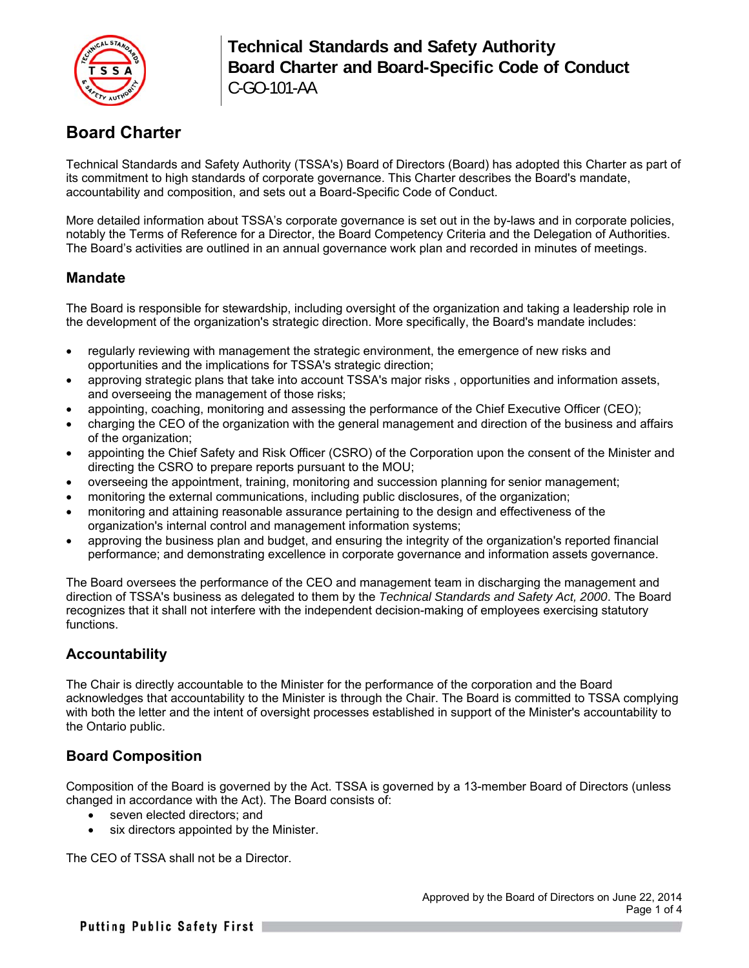

# **Board Charter**

Technical Standards and Safety Authority (TSSA's) Board of Directors (Board) has adopted this Charter as part of its commitment to high standards of corporate governance. This Charter describes the Board's mandate, accountability and composition, and sets out a Board-Specific Code of Conduct.

More detailed information about TSSA's corporate governance is set out in the by-laws and in corporate policies, notably the Terms of Reference for a Director, the Board Competency Criteria and the Delegation of Authorities. The Board's activities are outlined in an annual governance work plan and recorded in minutes of meetings.

### **Mandate**

The Board is responsible for stewardship, including oversight of the organization and taking a leadership role in the development of the organization's strategic direction. More specifically, the Board's mandate includes:

- regularly reviewing with management the strategic environment, the emergence of new risks and opportunities and the implications for TSSA's strategic direction;
- approving strategic plans that take into account TSSA's major risks , opportunities and information assets, and overseeing the management of those risks;
- appointing, coaching, monitoring and assessing the performance of the Chief Executive Officer (CEO);
- charging the CEO of the organization with the general management and direction of the business and affairs of the organization;
- appointing the Chief Safety and Risk Officer (CSRO) of the Corporation upon the consent of the Minister and directing the CSRO to prepare reports pursuant to the MOU;
- overseeing the appointment, training, monitoring and succession planning for senior management;
- monitoring the external communications, including public disclosures, of the organization;
- monitoring and attaining reasonable assurance pertaining to the design and effectiveness of the organization's internal control and management information systems;
- approving the business plan and budget, and ensuring the integrity of the organization's reported financial performance; and demonstrating excellence in corporate governance and information assets governance.

The Board oversees the performance of the CEO and management team in discharging the management and direction of TSSA's business as delegated to them by the *Technical Standards and Safety Act, 2000*. The Board recognizes that it shall not interfere with the independent decision-making of employees exercising statutory functions.

### **Accountability**

The Chair is directly accountable to the Minister for the performance of the corporation and the Board acknowledges that accountability to the Minister is through the Chair. The Board is committed to TSSA complying with both the letter and the intent of oversight processes established in support of the Minister's accountability to the Ontario public.

### **Board Composition**

Composition of the Board is governed by the Act. TSSA is governed by a 13-member Board of Directors (unless changed in accordance with the Act). The Board consists of:

- seven elected directors; and
- six directors appointed by the Minister.

The CEO of TSSA shall not be a Director.

Putting Public Safety First |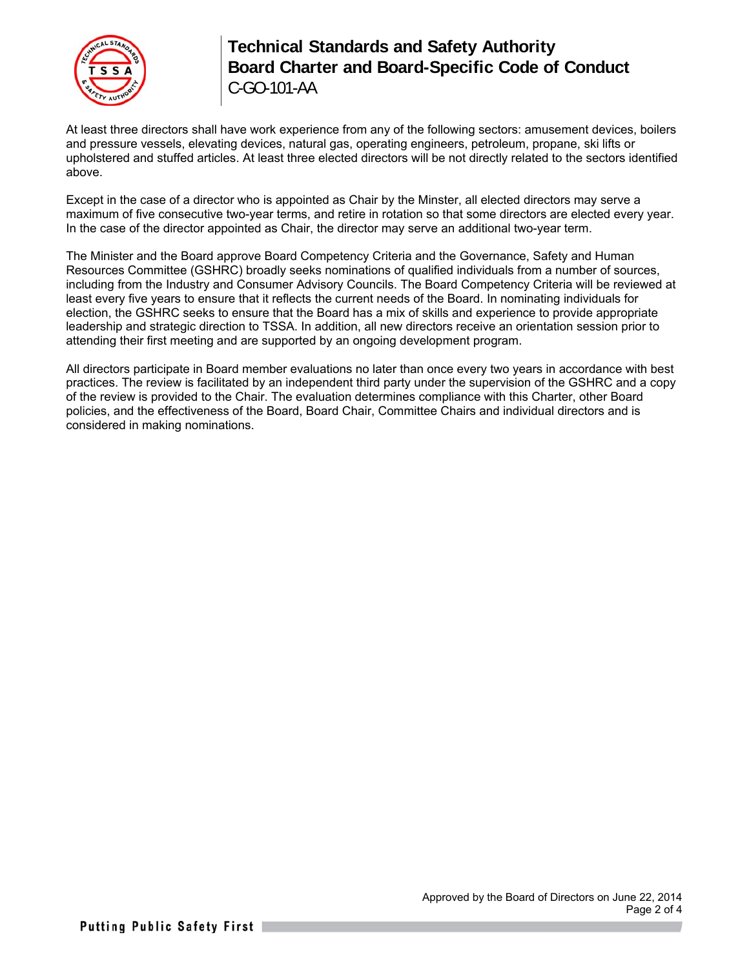

## **Technical Standards and Safety Authority Board Charter and Board-Specific Code of Conduct**  C-GO-101-AA

At least three directors shall have work experience from any of the following sectors: amusement devices, boilers and pressure vessels, elevating devices, natural gas, operating engineers, petroleum, propane, ski lifts or upholstered and stuffed articles. At least three elected directors will be not directly related to the sectors identified above.

Except in the case of a director who is appointed as Chair by the Minster, all elected directors may serve a maximum of five consecutive two-year terms, and retire in rotation so that some directors are elected every year. In the case of the director appointed as Chair, the director may serve an additional two-year term.

The Minister and the Board approve Board Competency Criteria and the Governance, Safety and Human Resources Committee (GSHRC) broadly seeks nominations of qualified individuals from a number of sources, including from the Industry and Consumer Advisory Councils. The Board Competency Criteria will be reviewed at least every five years to ensure that it reflects the current needs of the Board. In nominating individuals for election, the GSHRC seeks to ensure that the Board has a mix of skills and experience to provide appropriate leadership and strategic direction to TSSA. In addition, all new directors receive an orientation session prior to attending their first meeting and are supported by an ongoing development program.

All directors participate in Board member evaluations no later than once every two years in accordance with best practices. The review is facilitated by an independent third party under the supervision of the GSHRC and a copy of the review is provided to the Chair. The evaluation determines compliance with this Charter, other Board policies, and the effectiveness of the Board, Board Chair, Committee Chairs and individual directors and is considered in making nominations.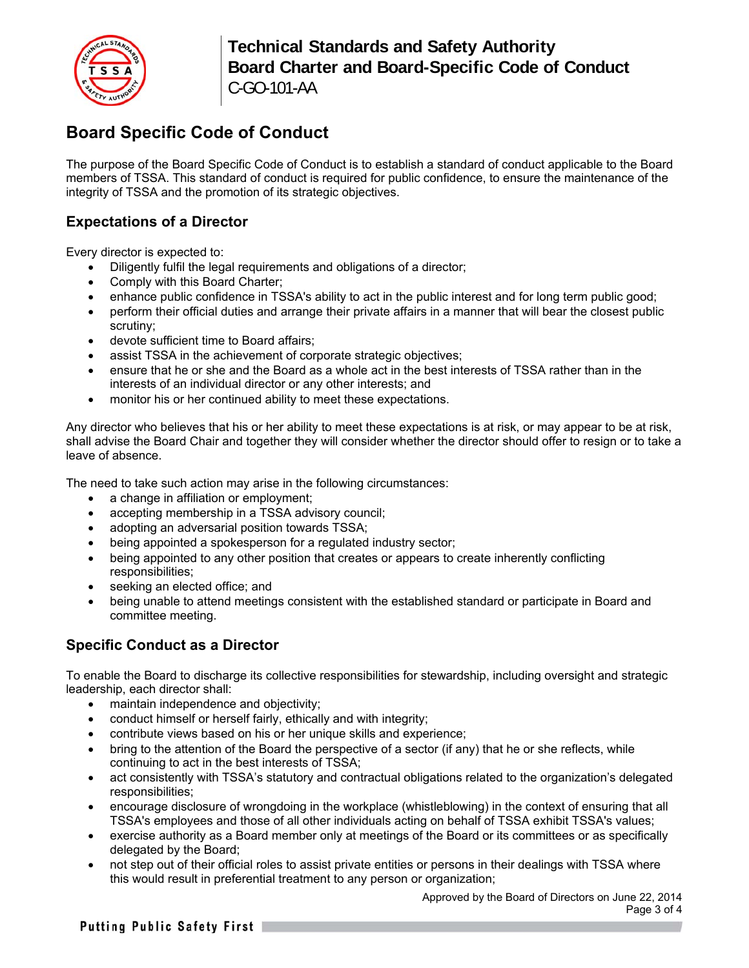

## **Technical Standards and Safety Authority Board Charter and Board-Specific Code of Conduct**  C-GO-101-AA

# **Board Specific Code of Conduct**

The purpose of the Board Specific Code of Conduct is to establish a standard of conduct applicable to the Board members of TSSA. This standard of conduct is required for public confidence, to ensure the maintenance of the integrity of TSSA and the promotion of its strategic objectives.

## **Expectations of a Director**

Every director is expected to:

- Diligently fulfil the legal requirements and obligations of a director;
- Comply with this Board Charter;
- enhance public confidence in TSSA's ability to act in the public interest and for long term public good;
- perform their official duties and arrange their private affairs in a manner that will bear the closest public scrutiny;
- devote sufficient time to Board affairs;
- assist TSSA in the achievement of corporate strategic objectives;
- ensure that he or she and the Board as a whole act in the best interests of TSSA rather than in the interests of an individual director or any other interests; and
- monitor his or her continued ability to meet these expectations.

Any director who believes that his or her ability to meet these expectations is at risk, or may appear to be at risk, shall advise the Board Chair and together they will consider whether the director should offer to resign or to take a leave of absence.

The need to take such action may arise in the following circumstances:

- a change in affiliation or employment;
- accepting membership in a TSSA advisory council;
- adopting an adversarial position towards TSSA;
- being appointed a spokesperson for a regulated industry sector;
- being appointed to any other position that creates or appears to create inherently conflicting responsibilities;
- seeking an elected office; and
- being unable to attend meetings consistent with the established standard or participate in Board and committee meeting.

### **Specific Conduct as a Director**

To enable the Board to discharge its collective responsibilities for stewardship, including oversight and strategic leadership, each director shall:

- maintain independence and objectivity;
- conduct himself or herself fairly, ethically and with integrity;
- contribute views based on his or her unique skills and experience;
- bring to the attention of the Board the perspective of a sector (if any) that he or she reflects, while continuing to act in the best interests of TSSA;
- act consistently with TSSA's statutory and contractual obligations related to the organization's delegated responsibilities;
- encourage disclosure of wrongdoing in the workplace (whistleblowing) in the context of ensuring that all TSSA's employees and those of all other individuals acting on behalf of TSSA exhibit TSSA's values;
- exercise authority as a Board member only at meetings of the Board or its committees or as specifically delegated by the Board;
- not step out of their official roles to assist private entities or persons in their dealings with TSSA where this would result in preferential treatment to any person or organization;